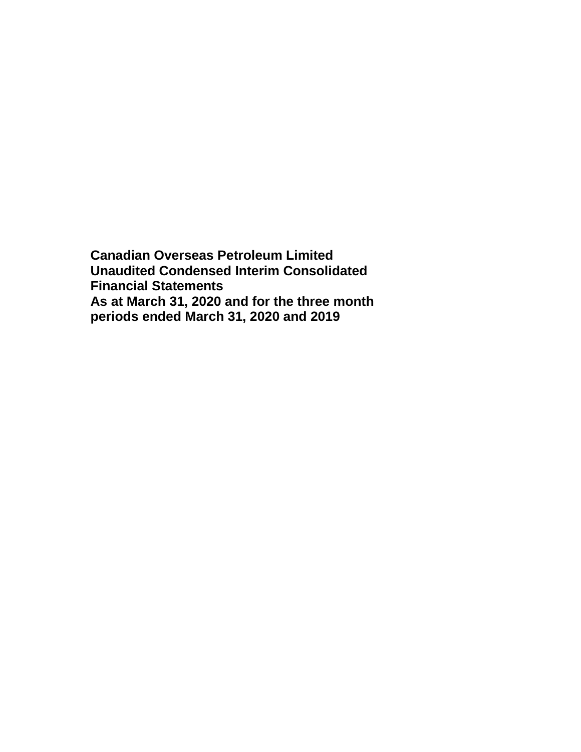**Canadian Overseas Petroleum Limited Unaudited Condensed Interim Consolidated Financial Statements As at March 31, 2020 and for the three month periods ended March 31, 2020 and 2019**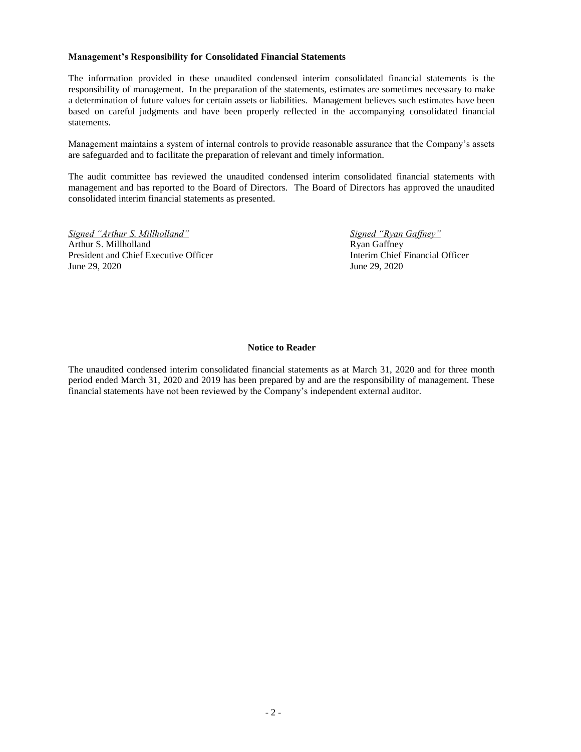#### **Management's Responsibility for Consolidated Financial Statements**

The information provided in these unaudited condensed interim consolidated financial statements is the responsibility of management. In the preparation of the statements, estimates are sometimes necessary to make a determination of future values for certain assets or liabilities. Management believes such estimates have been based on careful judgments and have been properly reflected in the accompanying consolidated financial statements.

Management maintains a system of internal controls to provide reasonable assurance that the Company's assets are safeguarded and to facilitate the preparation of relevant and timely information.

The audit committee has reviewed the unaudited condensed interim consolidated financial statements with management and has reported to the Board of Directors. The Board of Directors has approved the unaudited consolidated interim financial statements as presented.

*Signed "Arthur S. Millholland" Signed "Ryan Gaffney"* Arthur S. Millholland Ryan Gaffney President and Chief Executive Officer **Interim Chief Financial Officer Interim Chief Financial Officer** June 29, 2020 June 29, 2020

### **Notice to Reader**

The unaudited condensed interim consolidated financial statements as at March 31, 2020 and for three month period ended March 31, 2020 and 2019 has been prepared by and are the responsibility of management. These financial statements have not been reviewed by the Company's independent external auditor.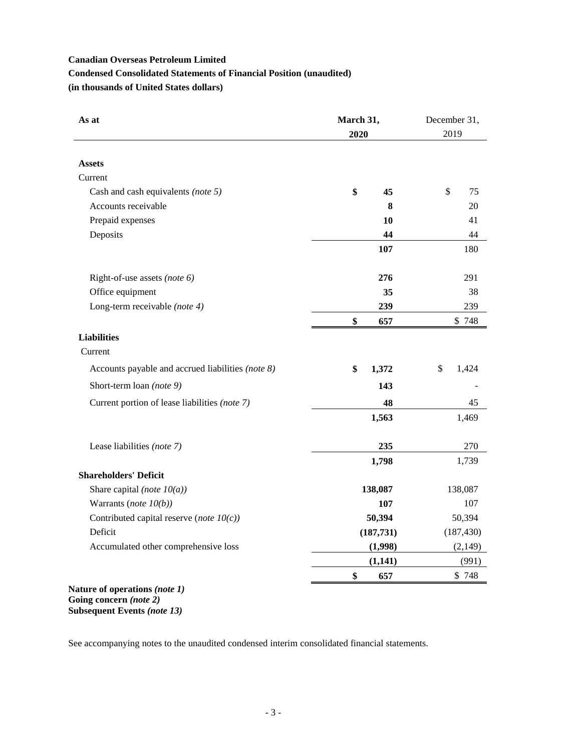# **Condensed Consolidated Statements of Financial Position (unaudited)**

**(in thousands of United States dollars)**

| As at                                             | March 31,<br>2020 | December 31,<br>2019 |
|---------------------------------------------------|-------------------|----------------------|
| <b>Assets</b>                                     |                   |                      |
| Current                                           |                   |                      |
| Cash and cash equivalents (note 5)                | \$<br>45          | \$<br>75             |
| Accounts receivable                               | 8                 | 20                   |
| Prepaid expenses                                  | 10                | 41                   |
| Deposits                                          | 44                | 44                   |
|                                                   | 107               | 180                  |
| Right-of-use assets (note 6)                      | 276               | 291                  |
| Office equipment                                  | 35                | 38                   |
| Long-term receivable (note 4)                     | 239               | 239                  |
|                                                   | \$<br>657         | \$748                |
| <b>Liabilities</b><br>Current                     |                   |                      |
| Accounts payable and accrued liabilities (note 8) | \$<br>1,372       | \$<br>1,424          |
| Short-term loan (note 9)                          | 143               |                      |
| Current portion of lease liabilities (note 7)     | 48                | 45                   |
|                                                   | 1,563             | 1,469                |
| Lease liabilities (note 7)                        | 235               | 270                  |
|                                                   | 1,798             | 1,739                |
| <b>Shareholders' Deficit</b>                      |                   |                      |
| Share capital (note $10(a)$ )                     | 138,087           | 138,087              |
| Warrants (note $10(b)$ )                          | 107               | 107                  |
| Contributed capital reserve (note $10(c)$ )       | 50,394            | 50,394               |
| Deficit                                           | (187, 731)        | (187, 430)           |
| Accumulated other comprehensive loss              | (1,998)           | (2, 149)             |
|                                                   | (1,141)           | (991)                |
|                                                   | \$<br>657         | \$748                |

**Going concern** *(note 2)* **Subsequent Events** *(note 13)*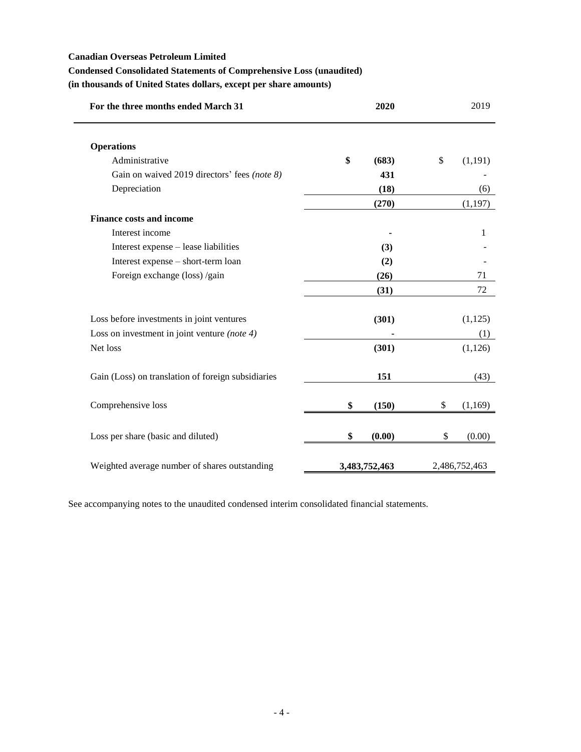## **Condensed Consolidated Statements of Comprehensive Loss (unaudited)**

**(in thousands of United States dollars, except per share amounts)**

| For the three months ended March 31                | 2020          | 2019          |
|----------------------------------------------------|---------------|---------------|
| <b>Operations</b>                                  |               |               |
| Administrative                                     | \$<br>(683)   | \$<br>(1,191) |
| Gain on waived 2019 directors' fees (note 8)       | 431           |               |
| Depreciation                                       | (18)          | (6)           |
|                                                    | (270)         | (1, 197)      |
| <b>Finance costs and income</b>                    |               |               |
| Interest income                                    |               | 1             |
| Interest expense - lease liabilities               | (3)           |               |
| Interest expense - short-term loan                 | (2)           |               |
| Foreign exchange (loss) /gain                      | (26)          | 71            |
|                                                    | (31)          | 72            |
| Loss before investments in joint ventures          | (301)         | (1, 125)      |
| Loss on investment in joint venture (note 4)       |               | (1)           |
| Net loss                                           | (301)         | (1,126)       |
| Gain (Loss) on translation of foreign subsidiaries | 151           | (43)          |
| Comprehensive loss                                 | \$<br>(150)   | \$<br>(1,169) |
| Loss per share (basic and diluted)                 | \$<br>(0.00)  | \$<br>(0.00)  |
| Weighted average number of shares outstanding      | 3,483,752,463 | 2,486,752,463 |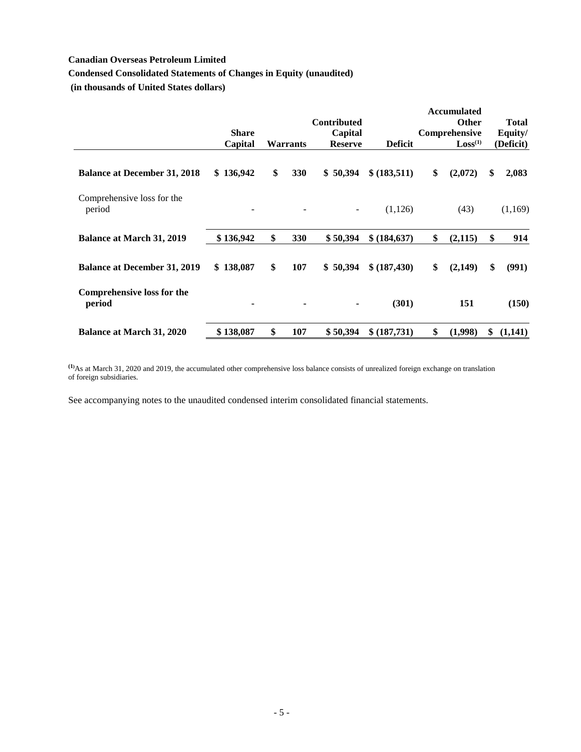## **Condensed Consolidated Statements of Changes in Equity (unaudited)**

**(in thousands of United States dollars)**

|                                             |                         |                  | <b>Contributed</b>        |                | <b>Accumulated</b><br><b>Other</b>   | <b>Total</b>         |
|---------------------------------------------|-------------------------|------------------|---------------------------|----------------|--------------------------------------|----------------------|
|                                             | <b>Share</b><br>Capital | <b>Warrants</b>  | Capital<br><b>Reserve</b> | <b>Deficit</b> | Comprehensive<br>Loss <sup>(1)</sup> | Equity/<br>(Deficit) |
| <b>Balance at December 31, 2018</b>         | 136,942<br>\$           | \$<br>330        | 50,394<br>\$              | \$ (183, 511)  | \$<br>(2,072)                        | \$<br>2,083          |
| Comprehensive loss for the<br>period        |                         |                  | $\overline{\phantom{a}}$  | (1,126)        | (43)                                 | (1,169)              |
| <b>Balance at March 31, 2019</b>            | \$136,942               | \$<br><b>330</b> | \$50,394                  | \$ (184, 637)  | \$<br>(2, 115)                       | \$<br>914            |
| <b>Balance at December 31, 2019</b>         | \$138,087               | \$<br>107        | 50,394<br>\$              | \$ (187,430)   | \$<br>(2,149)                        | \$<br>(991)          |
| <b>Comprehensive loss for the</b><br>period |                         |                  | ٠                         | (301)          | 151                                  | (150)                |
| <b>Balance at March 31, 2020</b>            | \$138,087               | \$<br>107        | \$50,394                  | \$ (187,731)   | \$<br>(1,998)                        | \$<br>(1,141)        |

**(1)**As at March 31, 2020 and 2019, the accumulated other comprehensive loss balance consists of unrealized foreign exchange on translation of foreign subsidiaries.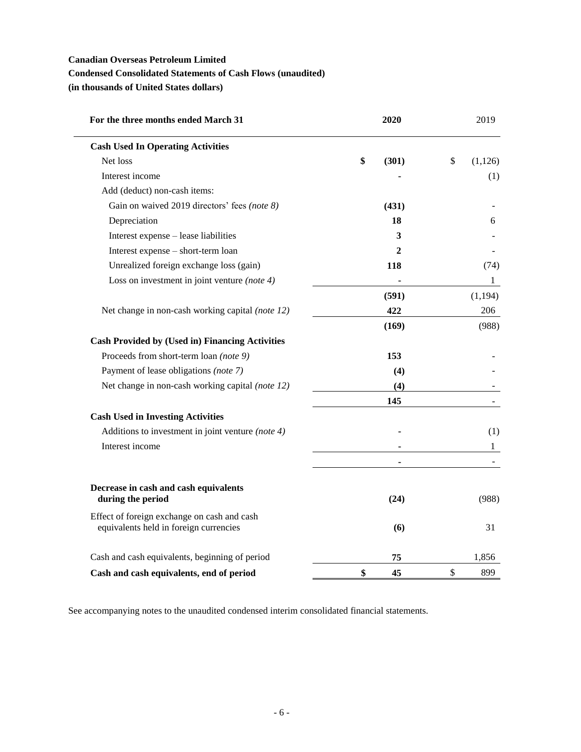## **Condensed Consolidated Statements of Cash Flows (unaudited)**

**(in thousands of United States dollars)**

| For the three months ended March 31                                                   | 2020        | 2019          |
|---------------------------------------------------------------------------------------|-------------|---------------|
| <b>Cash Used In Operating Activities</b>                                              |             |               |
| Net loss                                                                              | \$<br>(301) | \$<br>(1,126) |
| Interest income                                                                       |             | (1)           |
| Add (deduct) non-cash items:                                                          |             |               |
| Gain on waived 2019 directors' fees (note 8)                                          | (431)       |               |
| Depreciation                                                                          | 18          | 6             |
| Interest expense - lease liabilities                                                  | 3           |               |
| Interest expense - short-term loan                                                    | 2           |               |
| Unrealized foreign exchange loss (gain)                                               | 118         | (74)          |
| Loss on investment in joint venture (note $4$ )                                       |             | $\mathbf{1}$  |
|                                                                                       | (591)       | (1, 194)      |
| Net change in non-cash working capital (note 12)                                      | 422         | 206           |
|                                                                                       | (169)       | (988)         |
| <b>Cash Provided by (Used in) Financing Activities</b>                                |             |               |
| Proceeds from short-term loan (note 9)                                                | 153         |               |
| Payment of lease obligations (note 7)                                                 | (4)         |               |
| Net change in non-cash working capital (note 12)                                      | (4)         |               |
|                                                                                       | 145         |               |
| <b>Cash Used in Investing Activities</b>                                              |             |               |
| Additions to investment in joint venture (note $4$ )                                  |             | (1)           |
| Interest income                                                                       |             | $\mathbf{1}$  |
|                                                                                       |             |               |
| Decrease in cash and cash equivalents<br>during the period                            | (24)        | (988)         |
|                                                                                       |             |               |
| Effect of foreign exchange on cash and cash<br>equivalents held in foreign currencies | (6)         | 31            |
| Cash and cash equivalents, beginning of period                                        | 75          | 1,856         |
| Cash and cash equivalents, end of period                                              | \$<br>45    | \$<br>899     |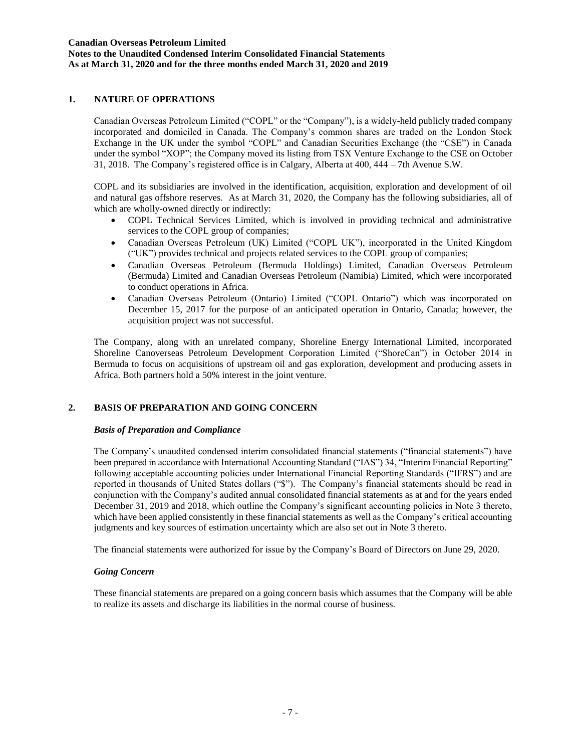## **1. NATURE OF OPERATIONS**

Canadian Overseas Petroleum Limited ("COPL" or the "Company"), is a widely-held publicly traded company incorporated and domiciled in Canada. The Company's common shares are traded on the London Stock Exchange in the UK under the symbol "COPL" and Canadian Securities Exchange (the "CSE") in Canada under the symbol "XOP"; the Company moved its listing from TSX Venture Exchange to the CSE on October 31, 2018. The Company's registered office is in Calgary, Alberta at 400, 444 – 7th Avenue S.W.

COPL and its subsidiaries are involved in the identification, acquisition, exploration and development of oil and natural gas offshore reserves. As at March 31, 2020, the Company has the following subsidiaries, all of which are wholly-owned directly or indirectly:

- COPL Technical Services Limited, which is involved in providing technical and administrative services to the COPL group of companies;
- Canadian Overseas Petroleum (UK) Limited ("COPL UK"), incorporated in the United Kingdom ("UK") provides technical and projects related services to the COPL group of companies;
- Canadian Overseas Petroleum (Bermuda Holdings) Limited, Canadian Overseas Petroleum (Bermuda) Limited and Canadian Overseas Petroleum (Namibia) Limited, which were incorporated to conduct operations in Africa.
- Canadian Overseas Petroleum (Ontario) Limited ("COPL Ontario") which was incorporated on December 15, 2017 for the purpose of an anticipated operation in Ontario, Canada; however, the acquisition project was not successful.

The Company, along with an unrelated company, Shoreline Energy International Limited, incorporated Shoreline Canoverseas Petroleum Development Corporation Limited ("ShoreCan") in October 2014 in Bermuda to focus on acquisitions of upstream oil and gas exploration, development and producing assets in Africa. Both partners hold a 50% interest in the joint venture.

## **2. BASIS OF PREPARATION AND GOING CONCERN**

## *Basis of Preparation and Compliance*

The Company's unaudited condensed interim consolidated financial statements ("financial statements") have been prepared in accordance with International Accounting Standard ("IAS") 34, "Interim Financial Reporting" following acceptable accounting policies under International Financial Reporting Standards ("IFRS") and are reported in thousands of United States dollars ("\$"). The Company's financial statements should be read in conjunction with the Company's audited annual consolidated financial statements as at and for the years ended December 31, 2019 and 2018, which outline the Company's significant accounting policies in Note 3 thereto, which have been applied consistently in these financial statements as well as the Company's critical accounting judgments and key sources of estimation uncertainty which are also set out in Note 3 thereto.

The financial statements were authorized for issue by the Company's Board of Directors on June 29, 2020.

## *Going Concern*

These financial statements are prepared on a going concern basis which assumes that the Company will be able to realize its assets and discharge its liabilities in the normal course of business.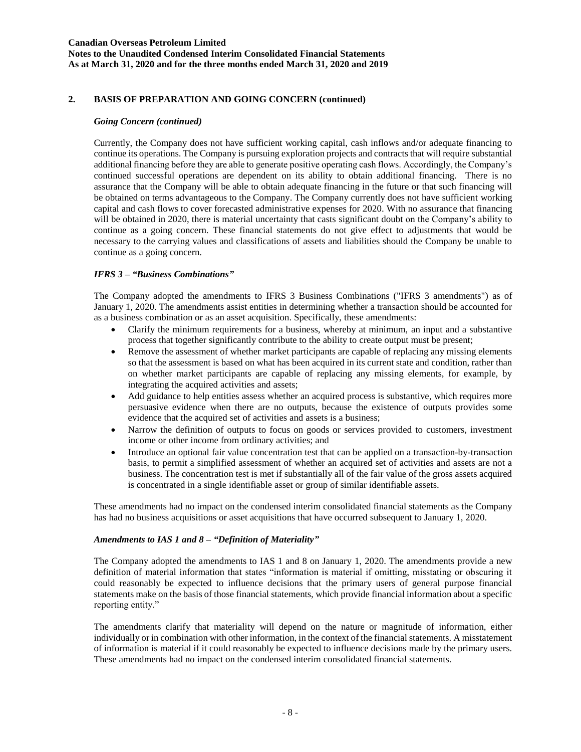### **Canadian Overseas Petroleum Limited Notes to the Unaudited Condensed Interim Consolidated Financial Statements As at March 31, 2020 and for the three months ended March 31, 2020 and 2019**

## **2. BASIS OF PREPARATION AND GOING CONCERN (continued)**

### *Going Concern (continued)*

Currently, the Company does not have sufficient working capital, cash inflows and/or adequate financing to continue its operations. The Company is pursuing exploration projects and contracts that will require substantial additional financing before they are able to generate positive operating cash flows. Accordingly, the Company's continued successful operations are dependent on its ability to obtain additional financing. There is no assurance that the Company will be able to obtain adequate financing in the future or that such financing will be obtained on terms advantageous to the Company. The Company currently does not have sufficient working capital and cash flows to cover forecasted administrative expenses for 2020. With no assurance that financing will be obtained in 2020, there is material uncertainty that casts significant doubt on the Company's ability to continue as a going concern. These financial statements do not give effect to adjustments that would be necessary to the carrying values and classifications of assets and liabilities should the Company be unable to continue as a going concern.

## *IFRS 3 – "Business Combinations"*

The Company adopted the amendments to IFRS 3 Business Combinations ("IFRS 3 amendments") as of January 1, 2020. The amendments assist entities in determining whether a transaction should be accounted for as a business combination or as an asset acquisition. Specifically, these amendments:

- Clarify the minimum requirements for a business, whereby at minimum, an input and a substantive process that together significantly contribute to the ability to create output must be present;
- Remove the assessment of whether market participants are capable of replacing any missing elements so that the assessment is based on what has been acquired in its current state and condition, rather than on whether market participants are capable of replacing any missing elements, for example, by integrating the acquired activities and assets;
- Add guidance to help entities assess whether an acquired process is substantive, which requires more persuasive evidence when there are no outputs, because the existence of outputs provides some evidence that the acquired set of activities and assets is a business;
- Narrow the definition of outputs to focus on goods or services provided to customers, investment income or other income from ordinary activities; and
- Introduce an optional fair value concentration test that can be applied on a transaction-by-transaction basis, to permit a simplified assessment of whether an acquired set of activities and assets are not a business. The concentration test is met if substantially all of the fair value of the gross assets acquired is concentrated in a single identifiable asset or group of similar identifiable assets.

These amendments had no impact on the condensed interim consolidated financial statements as the Company has had no business acquisitions or asset acquisitions that have occurred subsequent to January 1, 2020.

#### *Amendments to IAS 1 and 8 – "Definition of Materiality"*

The Company adopted the amendments to IAS 1 and 8 on January 1, 2020. The amendments provide a new definition of material information that states "information is material if omitting, misstating or obscuring it could reasonably be expected to influence decisions that the primary users of general purpose financial statements make on the basis of those financial statements, which provide financial information about a specific reporting entity."

The amendments clarify that materiality will depend on the nature or magnitude of information, either individually or in combination with other information, in the context of the financial statements. A misstatement of information is material if it could reasonably be expected to influence decisions made by the primary users. These amendments had no impact on the condensed interim consolidated financial statements.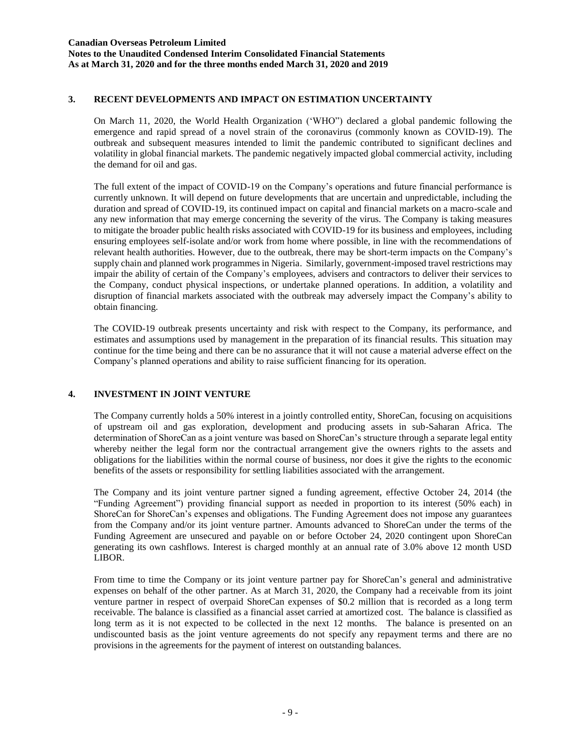## **3. RECENT DEVELOPMENTS AND IMPACT ON ESTIMATION UNCERTAINTY**

On March 11, 2020, the World Health Organization ('WHO") declared a global pandemic following the emergence and rapid spread of a novel strain of the coronavirus (commonly known as COVID-19). The outbreak and subsequent measures intended to limit the pandemic contributed to significant declines and volatility in global financial markets. The pandemic negatively impacted global commercial activity, including the demand for oil and gas.

The full extent of the impact of COVID-19 on the Company's operations and future financial performance is currently unknown. It will depend on future developments that are uncertain and unpredictable, including the duration and spread of COVID-19, its continued impact on capital and financial markets on a macro-scale and any new information that may emerge concerning the severity of the virus. The Company is taking measures to mitigate the broader public health risks associated with COVID-19 for its business and employees, including ensuring employees self-isolate and/or work from home where possible, in line with the recommendations of relevant health authorities. However, due to the outbreak, there may be short-term impacts on the Company's supply chain and planned work programmes in Nigeria. Similarly, government-imposed travel restrictions may impair the ability of certain of the Company's employees, advisers and contractors to deliver their services to the Company, conduct physical inspections, or undertake planned operations. In addition, a volatility and disruption of financial markets associated with the outbreak may adversely impact the Company's ability to obtain financing.

The COVID-19 outbreak presents uncertainty and risk with respect to the Company, its performance, and estimates and assumptions used by management in the preparation of its financial results. This situation may continue for the time being and there can be no assurance that it will not cause a material adverse effect on the Company's planned operations and ability to raise sufficient financing for its operation.

## **4. INVESTMENT IN JOINT VENTURE**

The Company currently holds a 50% interest in a jointly controlled entity, ShoreCan, focusing on acquisitions of upstream oil and gas exploration, development and producing assets in sub-Saharan Africa. The determination of ShoreCan as a joint venture was based on ShoreCan's structure through a separate legal entity whereby neither the legal form nor the contractual arrangement give the owners rights to the assets and obligations for the liabilities within the normal course of business, nor does it give the rights to the economic benefits of the assets or responsibility for settling liabilities associated with the arrangement.

The Company and its joint venture partner signed a funding agreement, effective October 24, 2014 (the "Funding Agreement") providing financial support as needed in proportion to its interest (50% each) in ShoreCan for ShoreCan's expenses and obligations. The Funding Agreement does not impose any guarantees from the Company and/or its joint venture partner. Amounts advanced to ShoreCan under the terms of the Funding Agreement are unsecured and payable on or before October 24, 2020 contingent upon ShoreCan generating its own cashflows. Interest is charged monthly at an annual rate of 3.0% above 12 month USD LIBOR.

From time to time the Company or its joint venture partner pay for ShoreCan's general and administrative expenses on behalf of the other partner. As at March 31, 2020, the Company had a receivable from its joint venture partner in respect of overpaid ShoreCan expenses of \$0.2 million that is recorded as a long term receivable. The balance is classified as a financial asset carried at amortized cost. The balance is classified as long term as it is not expected to be collected in the next 12 months. The balance is presented on an undiscounted basis as the joint venture agreements do not specify any repayment terms and there are no provisions in the agreements for the payment of interest on outstanding balances.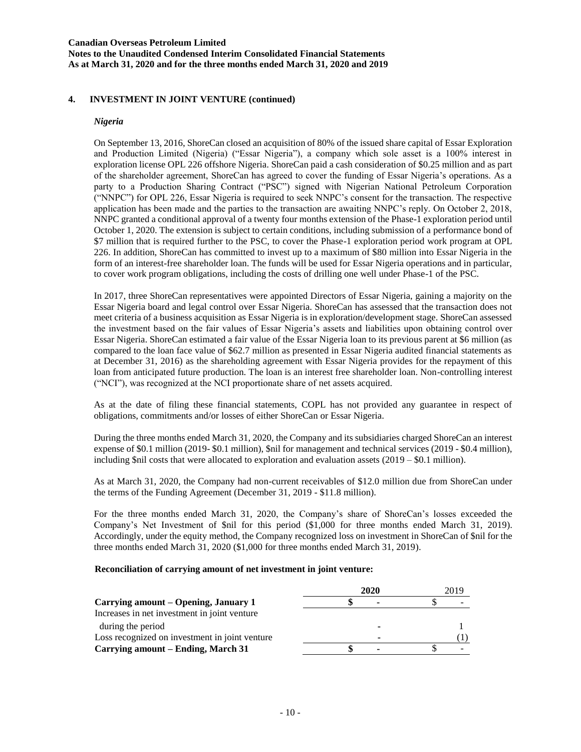**Notes to the Unaudited Condensed Interim Consolidated Financial Statements As at March 31, 2020 and for the three months ended March 31, 2020 and 2019**

### **4. INVESTMENT IN JOINT VENTURE (continued)**

#### *Nigeria*

On September 13, 2016, ShoreCan closed an acquisition of 80% of the issued share capital of Essar Exploration and Production Limited (Nigeria) ("Essar Nigeria"), a company which sole asset is a 100% interest in exploration license OPL 226 offshore Nigeria. ShoreCan paid a cash consideration of \$0.25 million and as part of the shareholder agreement, ShoreCan has agreed to cover the funding of Essar Nigeria's operations. As a party to a Production Sharing Contract ("PSC") signed with Nigerian National Petroleum Corporation ("NNPC") for OPL 226, Essar Nigeria is required to seek NNPC's consent for the transaction. The respective application has been made and the parties to the transaction are awaiting NNPC's reply. On October 2, 2018, NNPC granted a conditional approval of a twenty four months extension of the Phase-1 exploration period until October 1, 2020. The extension is subject to certain conditions, including submission of a performance bond of \$7 million that is required further to the PSC, to cover the Phase-1 exploration period work program at OPL 226. In addition, ShoreCan has committed to invest up to a maximum of \$80 million into Essar Nigeria in the form of an interest-free shareholder loan. The funds will be used for Essar Nigeria operations and in particular, to cover work program obligations, including the costs of drilling one well under Phase-1 of the PSC.

In 2017, three ShoreCan representatives were appointed Directors of Essar Nigeria, gaining a majority on the Essar Nigeria board and legal control over Essar Nigeria. ShoreCan has assessed that the transaction does not meet criteria of a business acquisition as Essar Nigeria is in exploration/development stage. ShoreCan assessed the investment based on the fair values of Essar Nigeria's assets and liabilities upon obtaining control over Essar Nigeria. ShoreCan estimated a fair value of the Essar Nigeria loan to its previous parent at \$6 million (as compared to the loan face value of \$62.7 million as presented in Essar Nigeria audited financial statements as at December 31, 2016) as the shareholding agreement with Essar Nigeria provides for the repayment of this loan from anticipated future production. The loan is an interest free shareholder loan. Non-controlling interest ("NCI"), was recognized at the NCI proportionate share of net assets acquired.

As at the date of filing these financial statements, COPL has not provided any guarantee in respect of obligations, commitments and/or losses of either ShoreCan or Essar Nigeria.

During the three months ended March 31, 2020, the Company and its subsidiaries charged ShoreCan an interest expense of \$0.1 million (2019- \$0.1 million), \$nil for management and technical services (2019 - \$0.4 million), including \$nil costs that were allocated to exploration and evaluation assets (2019 – \$0.1 million).

As at March 31, 2020, the Company had non-current receivables of \$12.0 million due from ShoreCan under the terms of the Funding Agreement (December 31, 2019 - \$11.8 million).

For the three months ended March 31, 2020, the Company's share of ShoreCan's losses exceeded the Company's Net Investment of \$nil for this period (\$1,000 for three months ended March 31, 2019). Accordingly, under the equity method, the Company recognized loss on investment in ShoreCan of \$nil for the three months ended March 31, 2020 (\$1,000 for three months ended March 31, 2019).

#### **Reconciliation of carrying amount of net investment in joint venture:**

|                                                | 2020 | 2019 |
|------------------------------------------------|------|------|
| Carrying amount – Opening, January 1           | ٠    |      |
| Increases in net investment in joint venture   |      |      |
| during the period                              |      |      |
| Loss recognized on investment in joint venture | ٠    |      |
| Carrying amount – Ending, March 31             | ۰    |      |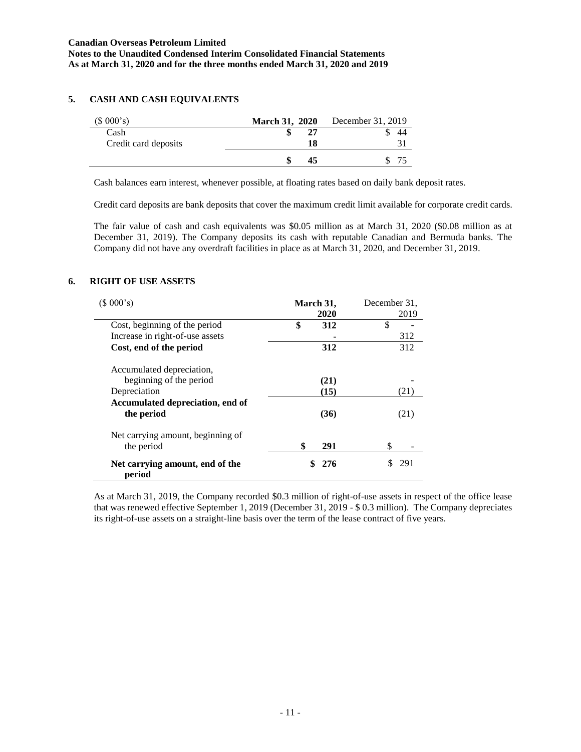## **5. CASH AND CASH EQUIVALENTS**

| (\$000's)            | <b>March 31, 2020</b> | December 31, 2019 |
|----------------------|-----------------------|-------------------|
| Cash                 |                       | 44                |
| Credit card deposits | 18                    |                   |
|                      |                       |                   |

Cash balances earn interest, whenever possible, at floating rates based on daily bank deposit rates.

Credit card deposits are bank deposits that cover the maximum credit limit available for corporate credit cards.

The fair value of cash and cash equivalents was \$0.05 million as at March 31, 2020 (\$0.08 million as at December 31, 2019). The Company deposits its cash with reputable Canadian and Bermuda banks. The Company did not have any overdraft facilities in place as at March 31, 2020, and December 31, 2019.

## **6. RIGHT OF USE ASSETS**

| (\$000's)<br>March 31,                    |           | December 31. |
|-------------------------------------------|-----------|--------------|
|                                           | 2020      | 2019         |
| Cost, beginning of the period             | \$<br>312 | \$           |
| Increase in right-of-use assets           |           | 312          |
| Cost, end of the period                   | 312       | 312          |
| Accumulated depreciation,                 |           |              |
| beginning of the period                   | (21)      |              |
| Depreciation                              | (15)      | (21)         |
| Accumulated depreciation, end of          |           |              |
| the period                                | (36)      | (21)         |
| Net carrying amount, beginning of         |           |              |
| the period                                | \$<br>291 | \$           |
| Net carrying amount, end of the<br>period | 276       | 291          |

As at March 31, 2019, the Company recorded \$0.3 million of right-of-use assets in respect of the office lease that was renewed effective September 1, 2019 (December 31, 2019 - \$ 0.3 million). The Company depreciates its right-of-use assets on a straight-line basis over the term of the lease contract of five years.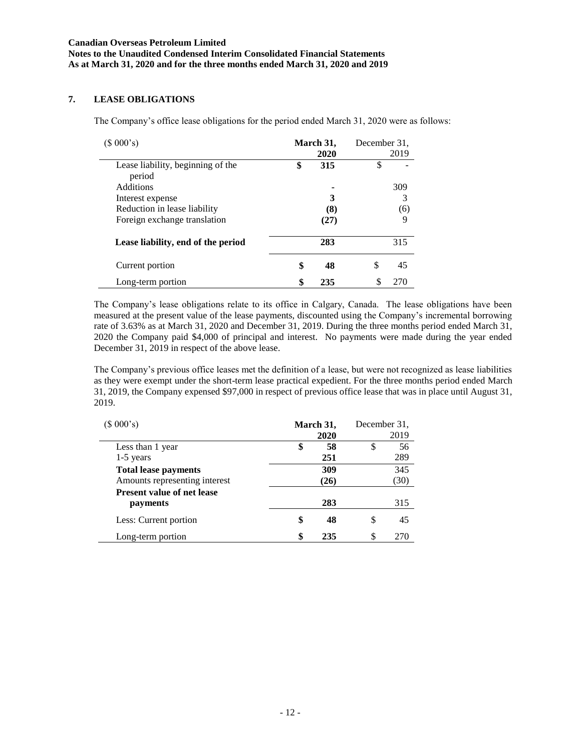## **7. LEASE OBLIGATIONS**

The Company's office lease obligations for the period ended March 31, 2020 were as follows:

| (\$000's)                                   | March 31, | December 31. |      |
|---------------------------------------------|-----------|--------------|------|
|                                             | 2020      |              | 2019 |
| Lease liability, beginning of the<br>period | \$<br>315 | \$           |      |
| <b>Additions</b>                            |           |              | 309  |
| Interest expense                            | 3         |              | 3    |
| Reduction in lease liability                | (8)       |              | (6)  |
| Foreign exchange translation                | (27)      |              | 9    |
| Lease liability, end of the period          | 283       |              | 315  |
| Current portion                             | \$<br>48  | \$           | 45   |
| Long-term portion                           | \$<br>235 |              |      |

The Company's lease obligations relate to its office in Calgary, Canada. The lease obligations have been measured at the present value of the lease payments, discounted using the Company's incremental borrowing rate of 3.63% as at March 31, 2020 and December 31, 2019. During the three months period ended March 31, 2020 the Company paid \$4,000 of principal and interest. No payments were made during the year ended December 31, 2019 in respect of the above lease.

The Company's previous office leases met the definition of a lease, but were not recognized as lease liabilities as they were exempt under the short-term lease practical expedient. For the three months period ended March 31, 2019, the Company expensed \$97,000 in respect of previous office lease that was in place until August 31, 2019.

| (\$000's)                         | March 31, | December 31. |      |
|-----------------------------------|-----------|--------------|------|
|                                   | 2020      |              | 2019 |
| Less than 1 year                  | \$<br>58  | \$           | 56   |
| $1-5$ years                       | 251       |              | 289  |
| <b>Total lease payments</b>       | 309       |              | 345  |
| Amounts representing interest     | (26)      |              | (30) |
| <b>Present value of net lease</b> |           |              |      |
| payments                          | 283       |              | 315  |
| Less: Current portion             | \$<br>48  | \$           | 45   |
| Long-term portion                 | \$<br>235 | \$           | 270  |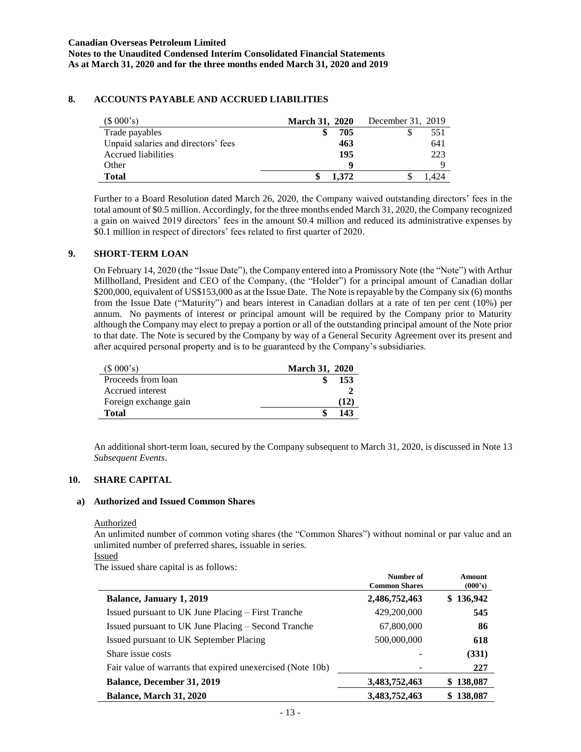## **8. ACCOUNTS PAYABLE AND ACCRUED LIABILITIES**

| (\$000's)                           | <b>March 31, 2020</b> | December 31, 2019 |
|-------------------------------------|-----------------------|-------------------|
| Trade payables                      | 705                   | 551               |
| Unpaid salaries and directors' fees | 463                   | 641               |
| Accrued liabilities                 | 195                   | 223               |
| Other                               |                       |                   |
| <b>Total</b>                        | 1.372                 |                   |

Further to a Board Resolution dated March 26, 2020, the Company waived outstanding directors' fees in the total amount of \$0.5 million. Accordingly, for the three months ended March 31, 2020, the Company recognized a gain on waived 2019 directors' fees in the amount \$0.4 million and reduced its administrative expenses by \$0.1 million in respect of directors' fees related to first quarter of 2020.

## **9. SHORT-TERM LOAN**

On February 14, 2020 (the "Issue Date"), the Company entered into a Promissory Note (the "Note") with Arthur Millholland, President and CEO of the Company, (the "Holder") for a principal amount of Canadian dollar \$200,000, equivalent of US\$153,000 as at the Issue Date. The Note is repayable by the Company six (6) months from the Issue Date ("Maturity") and bears interest in Canadian dollars at a rate of ten per cent (10%) per annum. No payments of interest or principal amount will be required by the Company prior to Maturity although the Company may elect to prepay a portion or all of the outstanding principal amount of the Note prior to that date. The Note is secured by the Company by way of a General Security Agreement over its present and after acquired personal property and is to be guaranteed by the Company's subsidiaries.

| $(S\ 000's)$          | <b>March 31, 2020</b> |
|-----------------------|-----------------------|
| Proceeds from loan    | 153                   |
| Accrued interest      |                       |
| Foreign exchange gain | (12)                  |
| <b>Total</b>          | 143                   |

An additional short-term loan, secured by the Company subsequent to March 31, 2020, is discussed in Note 13 *Subsequent Events*.

## **10. SHARE CAPITAL**

#### **a) Authorized and Issued Common Shares**

#### Authorized

An unlimited number of common voting shares (the "Common Shares") without nominal or par value and an unlimited number of preferred shares, issuable in series.

**Number of**

Issued

The issued share capital is as follows:

|                                                            | Number of<br><b>Common Shares</b> | Amount<br>(000's) |
|------------------------------------------------------------|-----------------------------------|-------------------|
| <b>Balance, January 1, 2019</b>                            | 2,486,752,463                     | \$136,942         |
| Issued pursuant to UK June Placing – First Tranche         | 429,200,000                       | 545               |
| Issued pursuant to UK June Placing – Second Tranche        | 67,800,000                        | 86                |
| Issued pursuant to UK September Placing                    | 500,000,000                       | 618               |
| Share issue costs                                          |                                   | (331)             |
| Fair value of warrants that expired unexercised (Note 10b) |                                   | 227               |
| <b>Balance, December 31, 2019</b>                          | 3,483,752,463                     | 138,087<br>\$     |
| <b>Balance, March 31, 2020</b>                             | 3,483,752,463                     | 138,087<br>S.     |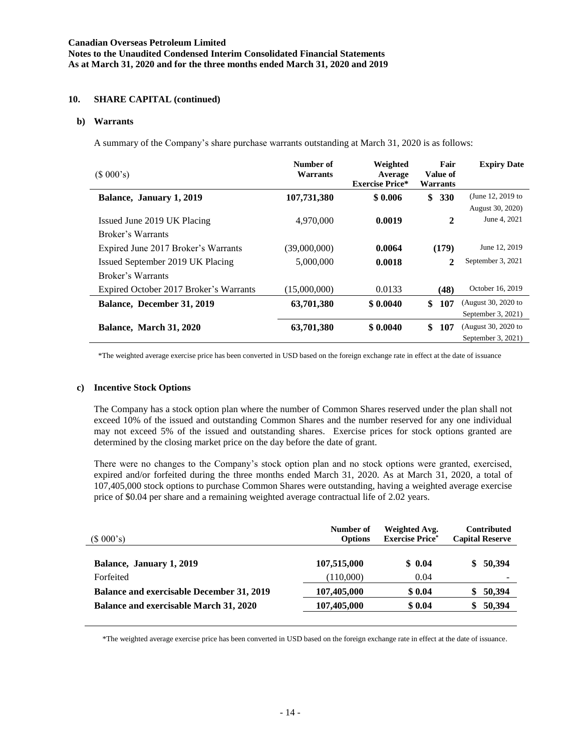### **10. SHARE CAPITAL (continued)**

#### **b) Warrants**

A summary of the Company's share purchase warrants outstanding at March 31, 2020 is as follows:

| (\$000's)                              | Number of<br>Warrants | Weighted<br>Average<br><b>Exercise Price*</b> | Fair<br>Value of<br>Warrants | <b>Expiry Date</b>  |
|----------------------------------------|-----------------------|-----------------------------------------------|------------------------------|---------------------|
| Balance, January 1, 2019               | 107,731,380           | \$0.006                                       | \$<br><b>330</b>             | (June 12, 2019 to   |
|                                        |                       |                                               |                              | August 30, 2020)    |
| Issued June 2019 UK Placing            | 4,970,000             | 0.0019                                        | 2                            | June 4, 2021        |
| Broker's Warrants                      |                       |                                               |                              |                     |
| Expired June 2017 Broker's Warrants    | (39,000,000)          | 0.0064                                        | (179)                        | June 12, 2019       |
| Issued September 2019 UK Placing       | 5,000,000             | 0.0018                                        | 2                            | September 3, 2021   |
| Broker's Warrants                      |                       |                                               |                              |                     |
| Expired October 2017 Broker's Warrants | (15,000,000)          | 0.0133                                        | (48)                         | October 16, 2019    |
| Balance, December 31, 2019             | 63,701,380            | \$0.0040                                      | 107<br>\$                    | (August 30, 2020 to |
|                                        |                       |                                               |                              | September 3, 2021)  |
| Balance, March 31, 2020                | 63,701,380            | \$0.0040                                      | \$<br>107                    | (August 30, 2020 to |
|                                        |                       |                                               |                              | September 3, 2021)  |

\*The weighted average exercise price has been converted in USD based on the foreign exchange rate in effect at the date of issuance

#### **c) Incentive Stock Options**

The Company has a stock option plan where the number of Common Shares reserved under the plan shall not exceed 10% of the issued and outstanding Common Shares and the number reserved for any one individual may not exceed 5% of the issued and outstanding shares. Exercise prices for stock options granted are determined by the closing market price on the day before the date of grant.

There were no changes to the Company's stock option plan and no stock options were granted, exercised, expired and/or forfeited during the three months ended March 31, 2020. As at March 31, 2020, a total of 107,405,000 stock options to purchase Common Shares were outstanding, having a weighted average exercise price of \$0.04 per share and a remaining weighted average contractual life of 2.02 years.

| (\$000's)                                        | Number of<br><b>Options</b> | Weighted Avg.<br><b>Exercise Price*</b> | Contributed<br><b>Capital Reserve</b> |
|--------------------------------------------------|-----------------------------|-----------------------------------------|---------------------------------------|
| Balance, January 1, 2019                         | 107,515,000                 | \$0.04                                  | \$50,394                              |
| Forfeited                                        | (110,000)                   | 0.04                                    |                                       |
| <b>Balance and exercisable December 31, 2019</b> | 107,405,000                 | \$0.04                                  | 50,394<br>\$                          |
| <b>Balance and exercisable March 31, 2020</b>    | 107,405,000                 | \$0.04                                  | 50,394<br>S.                          |
|                                                  |                             |                                         |                                       |

\*The weighted average exercise price has been converted in USD based on the foreign exchange rate in effect at the date of issuance.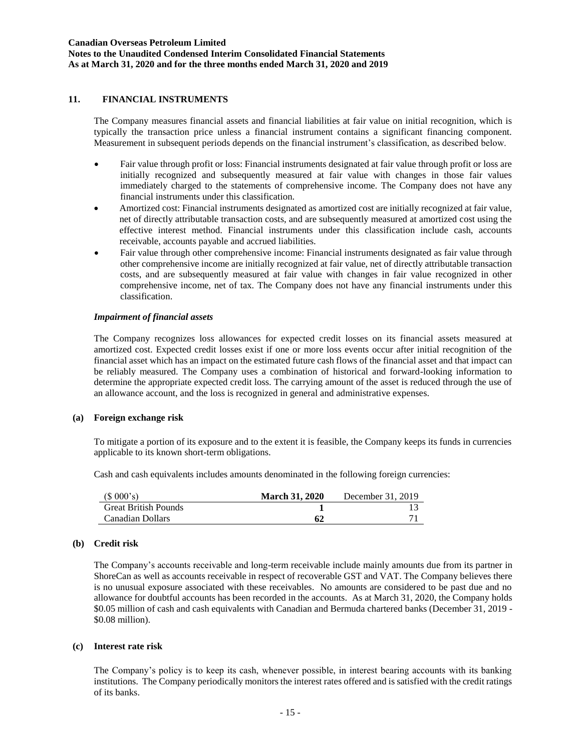### **Canadian Overseas Petroleum Limited Notes to the Unaudited Condensed Interim Consolidated Financial Statements As at March 31, 2020 and for the three months ended March 31, 2020 and 2019**

## **11. FINANCIAL INSTRUMENTS**

The Company measures financial assets and financial liabilities at fair value on initial recognition, which is typically the transaction price unless a financial instrument contains a significant financing component. Measurement in subsequent periods depends on the financial instrument's classification, as described below.

- Fair value through profit or loss: Financial instruments designated at fair value through profit or loss are initially recognized and subsequently measured at fair value with changes in those fair values immediately charged to the statements of comprehensive income. The Company does not have any financial instruments under this classification.
- Amortized cost: Financial instruments designated as amortized cost are initially recognized at fair value, net of directly attributable transaction costs, and are subsequently measured at amortized cost using the effective interest method. Financial instruments under this classification include cash, accounts receivable, accounts payable and accrued liabilities.
- Fair value through other comprehensive income: Financial instruments designated as fair value through other comprehensive income are initially recognized at fair value, net of directly attributable transaction costs, and are subsequently measured at fair value with changes in fair value recognized in other comprehensive income, net of tax. The Company does not have any financial instruments under this classification.

### *Impairment of financial assets*

The Company recognizes loss allowances for expected credit losses on its financial assets measured at amortized cost. Expected credit losses exist if one or more loss events occur after initial recognition of the financial asset which has an impact on the estimated future cash flows of the financial asset and that impact can be reliably measured. The Company uses a combination of historical and forward-looking information to determine the appropriate expected credit loss. The carrying amount of the asset is reduced through the use of an allowance account, and the loss is recognized in general and administrative expenses.

#### **(a) Foreign exchange risk**

To mitigate a portion of its exposure and to the extent it is feasible, the Company keeps its funds in currencies applicable to its known short-term obligations.

Cash and cash equivalents includes amounts denominated in the following foreign currencies:

| (\$000's)                   | <b>March 31, 2020</b> | December 31, 2019 |
|-----------------------------|-----------------------|-------------------|
| <b>Great British Pounds</b> |                       |                   |
| Canadian Dollars            | 62                    |                   |

## **(b) Credit risk**

The Company's accounts receivable and long-term receivable include mainly amounts due from its partner in ShoreCan as well as accounts receivable in respect of recoverable GST and VAT. The Company believes there is no unusual exposure associated with these receivables. No amounts are considered to be past due and no allowance for doubtful accounts has been recorded in the accounts. As at March 31, 2020, the Company holds \$0.05 million of cash and cash equivalents with Canadian and Bermuda chartered banks (December 31, 2019 - \$0.08 million).

#### **(c) Interest rate risk**

The Company's policy is to keep its cash, whenever possible, in interest bearing accounts with its banking institutions. The Company periodically monitors the interest rates offered and is satisfied with the credit ratings of its banks.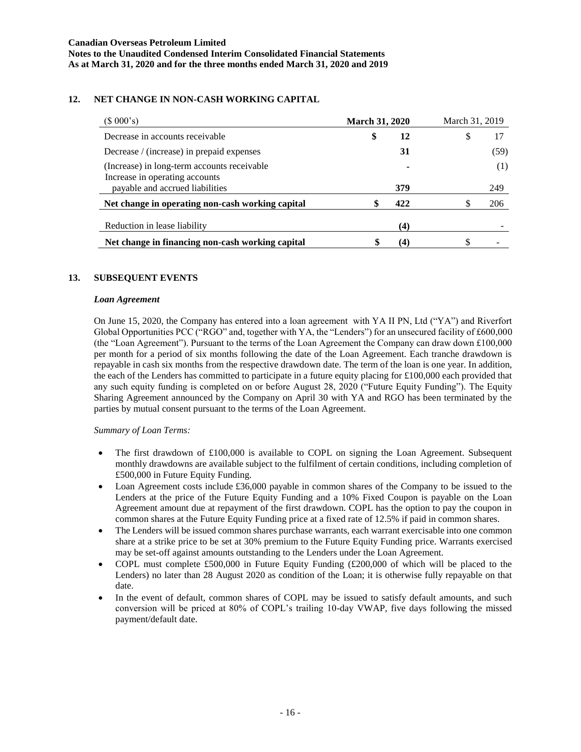## **12. NET CHANGE IN NON-CASH WORKING CAPITAL**

| (\$000's)                                                                                                        | <b>March 31, 2020</b> | March 31, 2019 |
|------------------------------------------------------------------------------------------------------------------|-----------------------|----------------|
| Decrease in accounts receivable                                                                                  | \$<br>12              | S              |
| Decrease / (increase) in prepaid expenses                                                                        | 31                    | (59)           |
| (Increase) in long-term accounts receivable<br>Increase in operating accounts<br>payable and accrued liabilities | 379                   | (1)<br>249     |
| Net change in operating non-cash working capital                                                                 | 422<br>S              | 206            |
| Reduction in lease liability                                                                                     | (4)                   |                |
| Net change in financing non-cash working capital                                                                 | 4)                    |                |

## **13. SUBSEQUENT EVENTS**

### *Loan Agreement*

On June 15, 2020, the Company has entered into a loan agreement with YA II PN, Ltd ("YA") and Riverfort Global Opportunities PCC ("RGO" and, together with YA, the "Lenders") for an unsecured facility of £600,000 (the "Loan Agreement"). Pursuant to the terms of the Loan Agreement the Company can draw down £100,000 per month for a period of six months following the date of the Loan Agreement. Each tranche drawdown is repayable in cash six months from the respective drawdown date. The term of the loan is one year. In addition, the each of the Lenders has committed to participate in a future equity placing for £100,000 each provided that any such equity funding is completed on or before August 28, 2020 ("Future Equity Funding"). The Equity Sharing Agreement announced by the Company on April 30 with YA and RGO has been terminated by the parties by mutual consent pursuant to the terms of the Loan Agreement.

#### *Summary of Loan Terms:*

- The first drawdown of £100,000 is available to COPL on signing the Loan Agreement. Subsequent monthly drawdowns are available subject to the fulfilment of certain conditions, including completion of £500,000 in Future Equity Funding.
- Loan Agreement costs include £36,000 payable in common shares of the Company to be issued to the Lenders at the price of the Future Equity Funding and a 10% Fixed Coupon is payable on the Loan Agreement amount due at repayment of the first drawdown. COPL has the option to pay the coupon in common shares at the Future Equity Funding price at a fixed rate of 12.5% if paid in common shares.
- The Lenders will be issued common shares purchase warrants, each warrant exercisable into one common share at a strike price to be set at 30% premium to the Future Equity Funding price. Warrants exercised may be set-off against amounts outstanding to the Lenders under the Loan Agreement.
- COPL must complete £500,000 in Future Equity Funding (£200,000 of which will be placed to the Lenders) no later than 28 August 2020 as condition of the Loan; it is otherwise fully repayable on that date.
- In the event of default, common shares of COPL may be issued to satisfy default amounts, and such conversion will be priced at 80% of COPL's trailing 10-day VWAP, five days following the missed payment/default date.